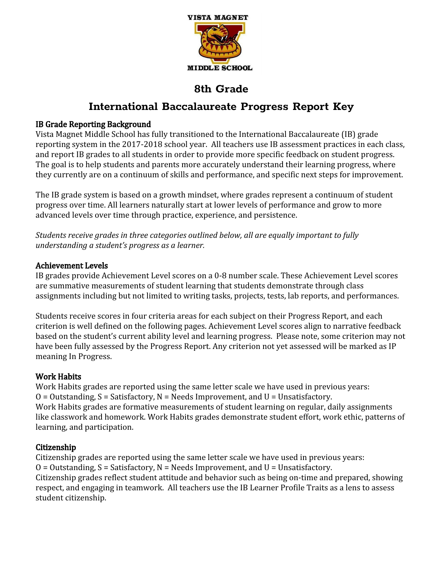

# **International Baccalaureate Progress Report Key**

## IB Grade Reporting Background

Vista Magnet Middle School has fully transitioned to the International Baccalaureate (IB) grade reporting system in the 2017-2018 school year. All teachers use IB assessment practices in each class, and report IB grades to all students in order to provide more specific feedback on student progress. The goal is to help students and parents more accurately understand their learning progress, where they currently are on a continuum of skills and performance, and specific next steps for improvement.

The IB grade system is based on a growth mindset, where grades represent a continuum of student progress over time. All learners naturally start at lower levels of performance and grow to more advanced levels over time through practice, experience, and persistence.

*Students receive grades in three categories outlined below, all are equally important to fully understanding a student's progress as a learner.*

## Achievement Levels

IB grades provide Achievement Level scores on a 0-8 number scale. These Achievement Level scores are summative measurements of student learning that students demonstrate through class assignments including but not limited to writing tasks, projects, tests, lab reports, and performances.

Students receive scores in four criteria areas for each subject on their Progress Report, and each criterion is well defined on the following pages. Achievement Level scores align to narrative feedback based on the student's current ability level and learning progress. Please note, some criterion may not have been fully assessed by the Progress Report. Any criterion not yet assessed will be marked as IP meaning In Progress.

## Work Habits

Work Habits grades are reported using the same letter scale we have used in previous years:  $O = 0$ utstanding,  $S = S$ atisfactory,  $N = Needs$  Improvement, and  $U = Unsatisfactory$ . Work Habits grades are formative measurements of student learning on regular, daily assignments like classwork and homework. Work Habits grades demonstrate student effort, work ethic, patterns of learning, and participation.

## Citizenship

Citizenship grades are reported using the same letter scale we have used in previous years:  $O = 0$ utstanding,  $S = S$ atisfactory,  $N = Needs$  Improvement, and  $U = Unsatisfactory$ . Citizenship grades reflect student attitude and behavior such as being on-time and prepared, showing respect, and engaging in teamwork. All teachers use the IB Learner Profile Traits as a lens to assess student citizenship.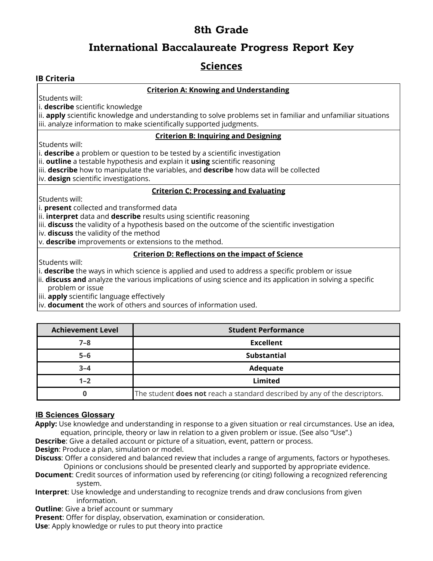## **International Baccalaureate Progress Report Key**

## **Sciences**

## **IB Criteria**

## **Criterion A: Knowing and Understanding**

Students will:

i. **describe** scientific knowledge

ii. **apply** scientific knowledge and understanding to solve problems set in familiar and unfamiliar situations iii. analyze information to make scientifically supported judgments.

## **Criterion B: Inquiring and Designing**

Students will:

i. **describe** a problem or question to be tested by a scientific investigation

ii. **outline** a testable hypothesis and explain it **using** scientific reasoning

iii. **describe** how to manipulate the variables, and **describe** how data will be collected

iv. **design** scientific investigations.

## **Criterion C: Processing and Evaluating**

Students will:

i. **present** collected and transformed data

ii. **interpret** data and **describe** results using scientific reasoning

iii. **discuss** the validity of a hypothesis based on the outcome of the scientific investigation

iv. **discuss** the validity of the method

v. **describe** improvements or extensions to the method.

### **Criterion D: Reflections on the impact of Science**

Students will:

i. **describe** the ways in which science is applied and used to address a specific problem or issue

ii. **discuss and** analyze the various implications of using science and its application in solving a specific problem or issue

iii. **apply** scientific language effectively

iv. **document** the work of others and sources of information used.

| <b>Achievement Level</b> | <b>Student Performance</b>                                                        |
|--------------------------|-----------------------------------------------------------------------------------|
| $7 - 8$                  | <b>Excellent</b>                                                                  |
| $5 - 6$                  | <b>Substantial</b>                                                                |
| $3 - 4$                  | Adequate                                                                          |
| $1 - 2$                  | Limited                                                                           |
|                          | The student <b>does not</b> reach a standard described by any of the descriptors. |

## **IB Sciences Glossary**

**Apply:** Use knowledge and understanding in response to a given situation or real circumstances. Use an idea, equation, principle, theory or law in relation to a given problem or issue. (See also "Use".)

**Describe**: Give a detailed account or picture of a situation, event, pattern or process.

**Design**: Produce a plan, simulation or model.

**Discuss**: Offer a considered and balanced review that includes a range of arguments, factors or hypotheses. Opinions or conclusions should be presented clearly and supported by appropriate evidence.

- **Document**: Credit sources of information used by referencing (or citing) following a recognized referencing system.
- **Interpret**: Use knowledge and understanding to recognize trends and draw conclusions from given information.

**Outline:** Give a brief account or summary

**Present**: Offer for display, observation, examination or consideration.

**Use**: Apply knowledge or rules to put theory into practice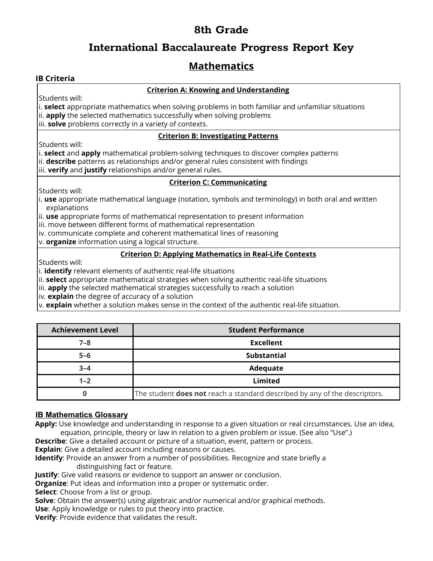# **International Baccalaureate Progress Report Key**

# **Mathematics**

## **IB Criteria**

## **Criterion A: Knowing and Understanding**

Students will:

i. **select** appropriate mathematics when solving problems in both familiar and unfamiliar situations ii. **apply** the selected mathematics successfully when solving problems iii. **solve** problems correctly in a variety of contexts.

### **Criterion B: Investigating Patterns**

Students will:

i. **select** and **apply** mathematical problem-solving techniques to discover complex patterns ii. **describe** patterns as relationships and/or general rules consistent with findings iii. **verify** and **justify** relationships and/or general rules.

### **Criterion C: Communicating**

Students will:

i. **use** appropriate mathematical language (notation, symbols and terminology) in both oral and written explanations

ii. **use** appropriate forms of mathematical representation to present information

iii. move between different forms of mathematical representation

iv. communicate complete and coherent mathematical lines of reasoning

v. **organize** information using a logical structure.

### **Criterion D: Applying Mathematics in Real-Life Contexts**

Students will:

i. **identify** relevant elements of authentic real-life situations

ii. **select** appropriate mathematical strategies when solving authentic real-life situations

iii. **apply** the selected mathematical strategies successfully to reach a solution

iv. **explain** the degree of accuracy of a solution

v. **explain** whether a solution makes sense in the context of the authentic real-life situation.

| <b>Achievement Level</b> | <b>Student Performance</b>                                                        |
|--------------------------|-----------------------------------------------------------------------------------|
| $7 - 8$                  | <b>Excellent</b>                                                                  |
| $5 - 6$                  | <b>Substantial</b>                                                                |
| $3 - 4$                  | Adequate                                                                          |
| $1 - 2$                  | Limited                                                                           |
|                          | The student <b>does not</b> reach a standard described by any of the descriptors. |

## **IB Mathematics Glossary**

**Apply:** Use knowledge and understanding in response to a given situation or real circumstances. Use an idea, equation, principle, theory or law in relation to a given problem or issue. (See also "Use".)

**Describe**: Give a detailed account or picture of a situation, event, pattern or process.

**Explain**: Give a detailed account including reasons or causes.

**Identify**: Provide an answer from a number of possibilities. Recognize and state briefly a distinguishing fact or feature.

**Justify**: Give valid reasons or evidence to support an answer or conclusion.

**Organize**: Put ideas and information into a proper or systematic order.

**Select**: Choose from a list or group.

**Solve**: Obtain the answer(s) using algebraic and/or numerical and/or graphical methods. **Use**: Apply knowledge or rules to put theory into practice.

**Verify**: Provide evidence that validates the result.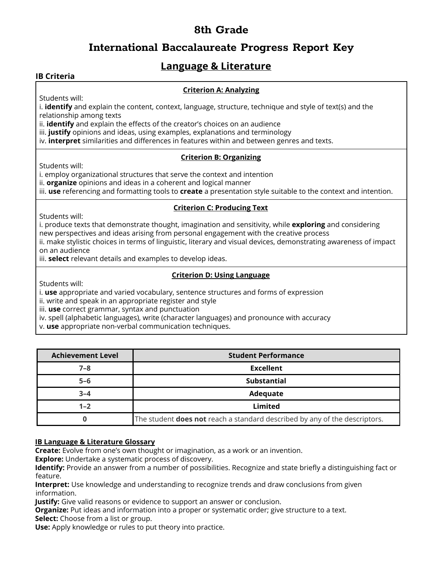# **International Baccalaureate Progress Report Key**

# **Language & Literature**

## **IB Criteria**

## **Criterion A: Analyzing**

Students will:

i. **identify** and explain the content, context, language, structure, technique and style of text(s) and the relationship among texts

ii. **identify** and explain the effects of the creator's choices on an audience

iii. **justify** opinions and ideas, using examples, explanations and terminology

iv. **interpret** similarities and differences in features within and between genres and texts.

#### **Criterion B: Organizing**

Students will:

i. employ organizational structures that serve the context and intention

ii. **organize** opinions and ideas in a coherent and logical manner

iii. **use** referencing and formatting tools to **create** a presentation style suitable to the context and intention.

### **Criterion C: Producing Text**

Students will:

i. produce texts that demonstrate thought, imagination and sensitivity, while **exploring** and considering new perspectives and ideas arising from personal engagement with the creative process

ii. make stylistic choices in terms of linguistic, literary and visual devices, demonstrating awareness of impact on an audience

iii. **select** relevant details and examples to develop ideas.

### **Criterion D: Using Language**

Students will:

i. **use** appropriate and varied vocabulary, sentence structures and forms of expression

ii. write and speak in an appropriate register and style

iii. **use** correct grammar, syntax and punctuation

iv. spell (alphabetic languages), write (character languages) and pronounce with accuracy

v. **use** appropriate non-verbal communication techniques.

| <b>Achievement Level</b> | <b>Student Performance</b>                                                        |
|--------------------------|-----------------------------------------------------------------------------------|
| $7 - 8$                  | <b>Excellent</b>                                                                  |
| $5 - 6$                  | <b>Substantial</b>                                                                |
| $3 - 4$                  | Adequate                                                                          |
| $1 - 2$                  | Limited                                                                           |
|                          | The student <b>does not</b> reach a standard described by any of the descriptors. |

### **IB Language & Literature Glossary**

**Create:** Evolve from one's own thought or imagination, as a work or an invention.

**Explore:** Undertake a systematic process of discovery.

**Identify:** Provide an answer from a number of possibilities. Recognize and state briefly a distinguishing fact or feature.

**Interpret:** Use knowledge and understanding to recognize trends and draw conclusions from given information.

**Justify:** Give valid reasons or evidence to support an answer or conclusion.

**Organize:** Put ideas and information into a proper or systematic order; give structure to a text.

**Select:** Choose from a list or group.

**Use:** Apply knowledge or rules to put theory into practice.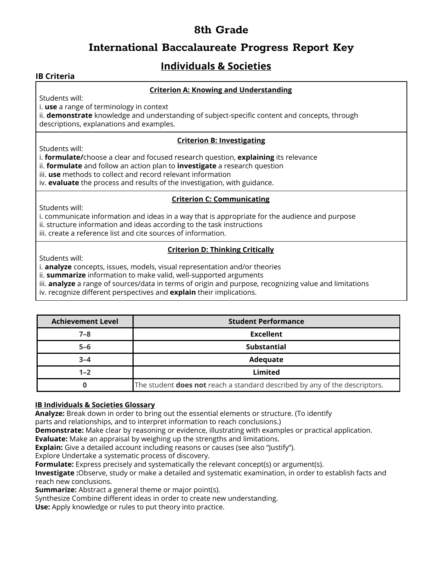## **International Baccalaureate Progress Report Key**

# **Individuals & Societies**

## **IB Criteria**

## **Criterion A: Knowing and Understanding**

Students will:

i. **use** a range of terminology in context

ii. **demonstrate** knowledge and understanding of subject-specific content and concepts, through descriptions, explanations and examples.

### **Criterion B: Investigating**

Students will:

i. **formulate/**choose a clear and focused research question, **explaining** its relevance

- ii. **formulate** and follow an action plan to **investigate** a research question
- iii. **use** methods to collect and record relevant information

iv. **evaluate** the process and results of the investigation, with guidance.

### **Criterion C: Communicating**

Students will:

i. communicate information and ideas in a way that is appropriate for the audience and purpose

- ii. structure information and ideas according to the task instructions
- iii. create a reference list and cite sources of information.

## **Criterion D: Thinking Critically**

Students will:

i. **analyze** concepts, issues, models, visual representation and/or theories

ii. **summarize** information to make valid, well-supported arguments

iii. **analyze** a range of sources/data in terms of origin and purpose, recognizing value and limitations

iv. recognize different perspectives and **explain** their implications.

| <b>Achievement Level</b> | <b>Student Performance</b>                                                        |
|--------------------------|-----------------------------------------------------------------------------------|
| $7 - 8$                  | <b>Excellent</b>                                                                  |
| $5 - 6$                  | Substantial                                                                       |
| $3 - 4$                  | Adequate                                                                          |
| $1 - 2$                  | Limited                                                                           |
|                          | The student <b>does not</b> reach a standard described by any of the descriptors. |

## **IB Individuals & Societies Glossary**

**Analyze:** Break down in order to bring out the essential elements or structure. (To identify

parts and relationships, and to interpret information to reach conclusions.)

**Demonstrate:** Make clear by reasoning or evidence, illustrating with examples or practical application.

**Evaluate:** Make an appraisal by weighing up the strengths and limitations.

**Explain:** Give a detailed account including reasons or causes (see also "Justify").

Explore Undertake a systematic process of discovery.

**Formulate:** Express precisely and systematically the relevant concept(s) or argument(s).

**Investigate :**Observe, study or make a detailed and systematic examination, in order to establish facts and reach new conclusions.

**Summarize:** Abstract a general theme or major point(s).

Synthesize Combine different ideas in order to create new understanding.

**Use:** Apply knowledge or rules to put theory into practice.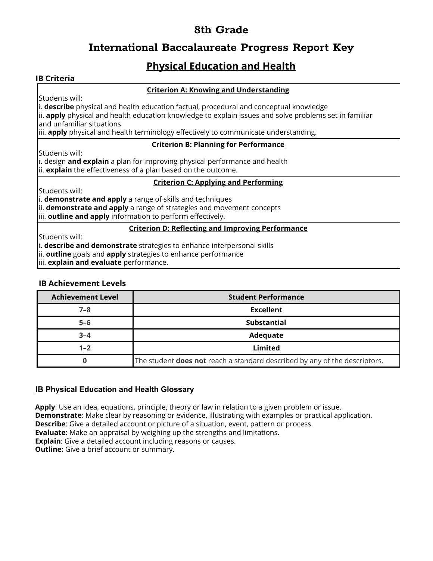# **International Baccalaureate Progress Report Key**

# **Physical Education and Health**

## **IB Criteria**

### **Criterion A: Knowing and Understanding**

Students will:

i. **describe** physical and health education factual, procedural and conceptual knowledge

ii. **apply** physical and health education knowledge to explain issues and solve problems set in familiar and unfamiliar situations

iii. **apply** physical and health terminology effectively to communicate understanding.

## **Criterion B: Planning for Performance**

Students will:

i. design **and explain** a plan for improving physical performance and health ii. **explain** the effectiveness of a plan based on the outcome.

#### **Criterion C: Applying and Performing**

Students will:

i. **demonstrate and apply** a range of skills and techniques

ii. **demonstrate and apply** a range of strategies and movement concepts

iii. **outline and apply** information to perform effectively.

#### **Criterion D: Reflecting and Improving Performance**

Students will:

i. **describe and demonstrate** strategies to enhance interpersonal skills

ii. **outline** goals and **apply** strategies to enhance performance

iii. **explain and evaluate** performance.

### **IB Achievement Levels**

| <b>Achievement Level</b> | <b>Student Performance</b>                                                        |
|--------------------------|-----------------------------------------------------------------------------------|
| $7 - 8$                  | <b>Excellent</b>                                                                  |
| $5 - 6$                  | <b>Substantial</b>                                                                |
| $3 - 4$                  | Adequate                                                                          |
| $1 - 2$                  | Limited                                                                           |
|                          | The student <b>does not</b> reach a standard described by any of the descriptors. |

## **IB Physical Education and Health Glossary**

**Apply**: Use an idea, equations, principle, theory or law in relation to a given problem or issue. **Demonstrate**: Make clear by reasoning or evidence, illustrating with examples or practical application. **Describe**: Give a detailed account or picture of a situation, event, pattern or process. **Evaluate**: Make an appraisal by weighing up the strengths and limitations. **Explain**: Give a detailed account including reasons or causes. **Outline:** Give a brief account or summary.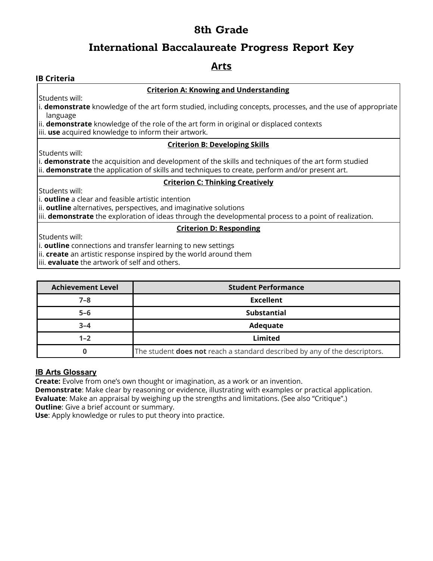# **International Baccalaureate Progress Report Key**

## **Arts**

## **IB Criteria**

### **Criterion A: Knowing and Understanding**

Students will:

i. **demonstrate** knowledge of the art form studied, including concepts, processes, and the use of appropriate language

ii. **demonstrate** knowledge of the role of the art form in original or displaced contexts

iii. **use** acquired knowledge to inform their artwork.

## **Criterion B: Developing Skills**

Students will:

i. **demonstrate** the acquisition and development of the skills and techniques of the art form studied ii. **demonstrate** the application of skills and techniques to create, perform and/or present art.

### **Criterion C: Thinking Creatively**

Students will:

i. **outline** a clear and feasible artistic intention

ii. **outline** alternatives, perspectives, and imaginative solutions

iii. **demonstrate** the exploration of ideas through the developmental process to a point of realization.

## **Criterion D: Responding**

Students will:

i. **outline** connections and transfer learning to new settings

ii. **create** an artistic response inspired by the world around them

iii. **evaluate** the artwork of self and others.

| <b>Achievement Level</b> | <b>Student Performance</b>                                                        |
|--------------------------|-----------------------------------------------------------------------------------|
| $7 - 8$                  | <b>Excellent</b>                                                                  |
| $5 - 6$                  | <b>Substantial</b>                                                                |
| $3 - 4$                  | Adequate                                                                          |
| $1 - 2$                  | <b>Limited</b>                                                                    |
|                          | The student <b>does not</b> reach a standard described by any of the descriptors. |

### **IB Arts Glossary**

**Create:** Evolve from one's own thought or imagination, as a work or an invention.

**Demonstrate**: Make clear by reasoning or evidence, illustrating with examples or practical application. **Evaluate**: Make an appraisal by weighing up the strengths and limitations. (See also "Critique".) **Outline:** Give a brief account or summary.

**Use**: Apply knowledge or rules to put theory into practice.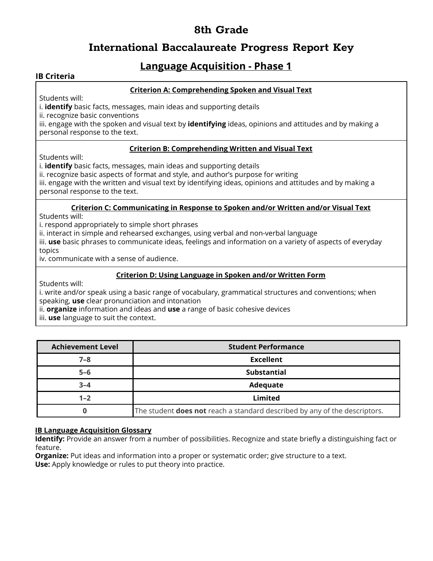# **International Baccalaureate Progress Report Key**

# **Language Acquisition - Phase 1**

## **IB Criteria**

## **Criterion A: Comprehending Spoken and Visual Text**

Students will:

i. **identify** basic facts, messages, main ideas and supporting details

ii. recognize basic conventions

iii. engage with the spoken and visual text by **identifying** ideas, opinions and attitudes and by making a personal response to the text.

### **Criterion B: Comprehending Written and Visual Text**

Students will:

i. **identify** basic facts, messages, main ideas and supporting details

ii. recognize basic aspects of format and style, and author's purpose for writing

iii. engage with the written and visual text by identifying ideas, opinions and attitudes and by making a personal response to the text.

#### **Criterion C: Communicating in Response to Spoken and/or Written and/or Visual Text**

Students will:

i. respond appropriately to simple short phrases

ii. interact in simple and rehearsed exchanges, using verbal and non-verbal language

iii. **use** basic phrases to communicate ideas, feelings and information on a variety of aspects of everyday topics

iv. communicate with a sense of audience.

### **Criterion D: Using Language in Spoken and/or Written Form**

Students will:

i. write and/or speak using a basic range of vocabulary, grammatical structures and conventions; when speaking, **use** clear pronunciation and intonation

ii. **organize** information and ideas and **use** a range of basic cohesive devices

iii. **use** language to suit the context.

| <b>Achievement Level</b> | <b>Student Performance</b>                                                        |
|--------------------------|-----------------------------------------------------------------------------------|
| $7 - 8$                  | <b>Excellent</b>                                                                  |
| $5 - 6$                  | <b>Substantial</b>                                                                |
| $3 - 4$                  | Adequate                                                                          |
| $1 - 2$                  | Limited                                                                           |
|                          | The student <b>does not</b> reach a standard described by any of the descriptors. |

### **IB Language Acquisition Glossary**

**Identify:** Provide an answer from a number of possibilities. Recognize and state briefly a distinguishing fact or feature.

**Organize:** Put ideas and information into a proper or systematic order; give structure to a text. **Use:** Apply knowledge or rules to put theory into practice.